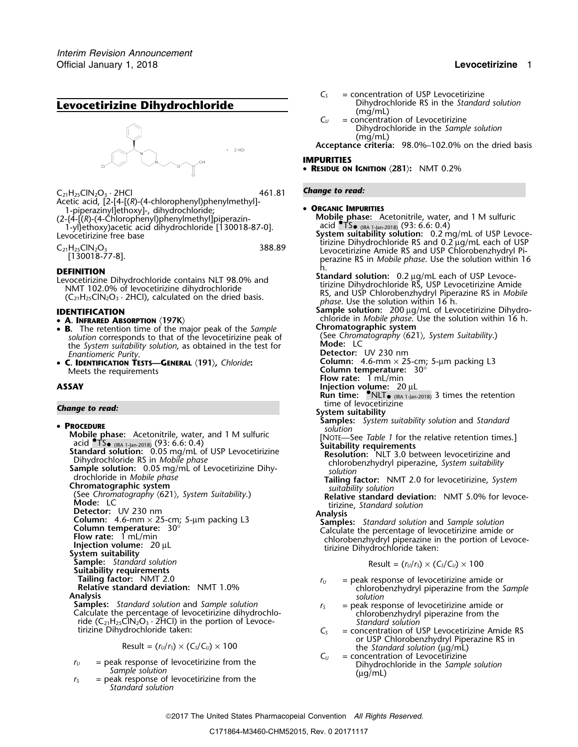# **Levocetirizine Dihydrochloride Levocetirizine Dihydrochloride** (mg/mL)<br>(mg/mL)  $C_{U}$  = concentrat



 $C_{21}H_{25}CIN_2O_3 \cdot 2HCl$   $461.81$  **Change to read:** Acetic acid, [2-[4-[(*R*)-(4-chlorophenyl)phenylmethyl]- 1-piperazinyl]ethoxy]-, dihydrochloride; • **<sup>O</sup>RGANIC IMPURITIES**

example all type through phase through the through the telephase of the telephase: Acetonitrile, water, and 1 M sulfuric (2-{4-[(*R*)-(4-Chlorophenyl)phenylmethyl]piperazin-<br>1-yl}ethoxy)acetic acid dihydrochloride [130018-1-yl}ethoxy)acetic acid dihydrochloride [130018-87-0].<br>Levocetirizine free base

$$
C_{21}H_{25}ClN_2O_2
$$

- A. INFRARED ABSORPTION (197K)
- **<sup>B</sup>.** The retention time of the major peak of the *Sample* **Chromatographic system Solution** corresponds to that of the levocetirizine peak of *See Chromatography*  $\langle 621 \rangle$ *, System Suitability.*) <br>the *System suitability solution* as obtained in the test for **Mode:** LC the *System suitability solution*, as obtained in the test for *Enantiomeric Purity*.
- •**C. IDENTIFICATION TESTS—GENERAL**  $\langle 191 \rangle$ , *Chloride*: **Column:** 4.6-mm × 25-cm; 6-10 Meets the requirements **Column** temperature: 30<sup>o</sup> Meets the requirements

time of levocetirizine *Change to read:* **System suitability Samples:** *System suitability solution* and *Standard* • **System suitability solution** and *Standard* • *solution* **PROCEDURE**<br> **PROCEDURE Phase:** Acetonitrile, water, and 1 M sulfuric *solution*<br>
acid •TS• (RA 1-Jan-2018) (93: 6.6: 0.4) **Cultability requirements** acid  $\text{STs}_{\text{out}}$  and  $\text{S}_{\text{out}}$  and  $\text{S}_{\text{out}}$  and  $\text{S}_{\text{out}}$  and  $\text{S}_{\text{out}}$  and  $\text{S}_{\text{out}}$  and  $\text{S}_{\text{out}}$  and  $\text{S}_{\text{out}}$  and  $\text{S}_{\text{out}}$  and  $\text{S}_{\text{out}}$  and  $\text{S}_{\text{out}}$  and  $\text{S}_{\text{out}}$  and  $\text{S}_{\text{out$ **System suitability**<br>**Sample:** Standard solution **Suitability requirements Tailing factor:** NMT 2.0 *r*<sub>*U*</sub> = peak response of levocetirizine amide or **Relative standard deviation:** NMT 1.0% chlorobenzhydryl piperazine from the *Sample* **Analysis** *solution* **Analysis** *solution* **Samples:** *St* **Samples:** Standard solution and Sample solution<br>Calculate the percentage of levocetirizine dihydrochlo-<br>ride (C<sub>21</sub>H<sub>25</sub>ClN<sub>2</sub>O<sub>3</sub> · 2HCl) in the portion of Levoce-<br>tirizine Dihydrochloride taken:<br>tirizine Dihydrochlorid

*Standard solution*

- *C<sub>S</sub>* = concentration of USP Levocetirizine<br>Dihydrochloride RS in the Standard solution
	- $=$  concentration of Levocetirizine Dihydrochloride in the *Sample solution* (mg/mL)

**Acceptance criteria:** 98.0%–102.0% on the dried basis

### **IMPURITIES**

• **RESIDUE ON IGNITION** 〈**281**〉**:** NMT 0.2%

- 
- Levocetirizine free base **System suitability solution:** 0.2 mg/mL of USP Levocetirizine Dihydrochloride RS and 0.2 <sup>µ</sup>g/mL each of USP <sup>C</sup>21H25ClN2O<sup>3</sup> 388.89 Levocetirizine Amide RS and USP Chlorobenzhydryl Pi- [130018-77-8]. perazine RS in *Mobile phase*. Use the solution within 16

 $\begin{array}{ll}\n 1130018^{-775} & 160018^{-775} & 160018^{-775} & 160018^{-775} & 160018^{-775} & 160018^{-775} & 160018^{-775} & 160018^{-775} & 160018^{-775} & 160018^{-775} & 160018^{-775} & 160018^{-775} & 160018^{-775} & 160018^{-775} &$ **Sample solution:** 200 µg/mL of Levocetirizine Dihydro-<br>**IDENTIFICATION** 

**A** chloride in *Mobile phase*. Use the solution within 16 h. **Chromatographic system** 

- 
- **Detector:** UV 230 nm<br>**Column:** 4.6-mm × 25-cm; 5-µm packing L3
- 
- **Flow rate:** 1 mL/min
- 
- **ASSAY Injection volume:** 20 µL **Run time:** •.NLT• (IRA 1-Jan-2018) 3 times the retention
	-
	-
	- -
		-
		-

$$
Result = (r_U/r_S) \times (C_S/C_U) \times 100
$$

- 
- 
- $C<sub>S</sub>$  = concentration of USP Levocetirizine Amide RS or USP Chlorobenzhydryl Piperazine RS in Result = (*<sup>r</sup>U*/*<sup>r</sup>S*) × (*CS*/*CU*) ×<sup>100</sup> the *Standard solution* (µg/mL)
- $C_U$  = concentration of Levocetirizine  $r_0$  = peak response of levocetirizine from the Dihydrochloride in the *Sample solution*<br>*Sample solution* = peak response of levocetirizine from the (µg/mL)

2017 The United States Pharmacopeial Convention *All Rights Reserved.*